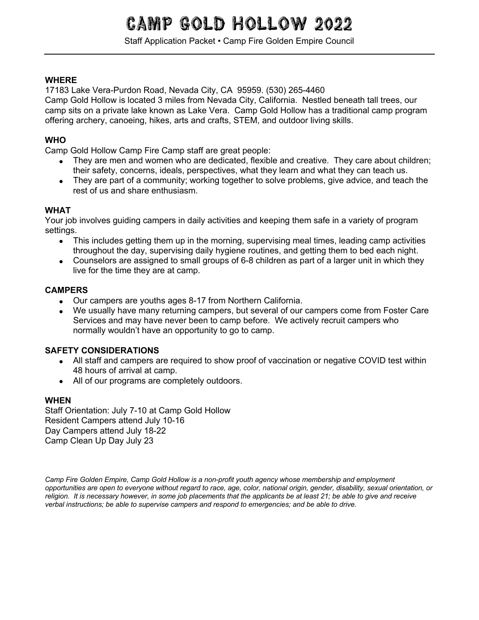# **CAMP GOLD HOLLOW 20**

Staff Application Packet • Camp Fire Golden Empire Council

## **WHERE**

17183 Lake Vera-Purdon Road, Nevada City, CA 95959. (530) 265-4460

Camp Gold Hollow is located 3 miles from Nevada City, California. Nestled beneath tall trees, our camp sits on a private lake known as Lake Vera. Camp Gold Hollow has a traditional camp program offering archery, canoeing, hikes, arts and crafts, STEM, and outdoor living skills.

## **WHO**

Camp Gold Hollow Camp Fire Camp staff are great people:

- They are men and women who are dedicated, flexible and creative. They care about children; their safety, concerns, ideals, perspectives, what they learn and what they can teach us.
- They are part of a community; working together to solve problems, give advice, and teach the rest of us and share enthusiasm.

## **WHAT**

Your job involves guiding campers in daily activities and keeping them safe in a variety of program settings.

- This includes getting them up in the morning, supervising meal times, leading camp activities throughout the day, supervising daily hygiene routines, and getting them to bed each night.
- Counselors are assigned to small groups of 6-8 children as part of a larger unit in which they live for the time they are at camp.

## **CAMPERS**

- Our campers are youths ages 8-17 from Northern California.
- We usually have many returning campers, but several of our campers come from Foster Care Services and may have never been to camp before. We actively recruit campers who normally wouldn't have an opportunity to go to camp.

## **SAFETY CONSIDERATIONS**

- All staff and campers are required to show proof of vaccination or negative COVID test within 48 hours of arrival at camp.
- All of our programs are completely outdoors.

## **WHEN**

Staff Orientation: July 7-10 at Camp Gold Hollow Resident Campers attend July 10-16 Day Campers attend July 18-22 Camp Clean Up Day July 23

*Camp Fire Golden Empire, Camp Gold Hollow is a non-profit youth agency whose membership and employment opportunities are open to everyone without regard to race, age, color, national origin, gender, disability, sexual orientation, or*  religion. It is necessary however, in some job placements that the applicants be at least 21; be able to give and receive *verbal instructions; be able to supervise campers and respond to emergencies; and be able to drive.*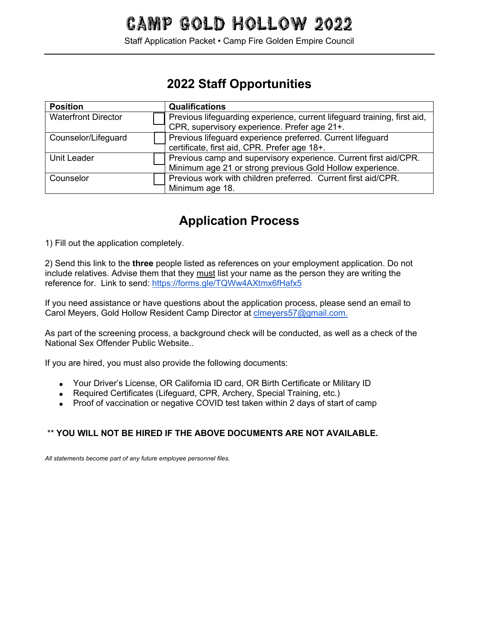Staff Application Packet • Camp Fire Golden Empire Council

## **2022 Staff Opportunities**

| <b>Position</b>            | <b>Qualifications</b>                                                    |  |  |
|----------------------------|--------------------------------------------------------------------------|--|--|
| <b>Waterfront Director</b> | Previous lifeguarding experience, current lifeguard training, first aid, |  |  |
|                            | CPR, supervisory experience. Prefer age 21+.                             |  |  |
| Counselor/Lifeguard        | Previous lifeguard experience preferred. Current lifeguard               |  |  |
|                            | certificate, first aid, CPR. Prefer age 18+.                             |  |  |
| <b>Unit Leader</b>         | Previous camp and supervisory experience. Current first aid/CPR.         |  |  |
|                            | Minimum age 21 or strong previous Gold Hollow experience.                |  |  |
| Counselor                  | Previous work with children preferred. Current first aid/CPR.            |  |  |
|                            | Minimum age 18.                                                          |  |  |

## **Application Process**

1) Fill out the application completely.

2) Send this link to the **three** people listed as references on your employment application. Do not include relatives. Advise them that they must list your name as the person they are writing the reference for. Link to send: https://forms.gle/TQWw4AXtmx6fHafx5

If you need assistance or have questions about the application process, please send an email to Carol Meyers, Gold Hollow Resident Camp Director at clmeyers57@gmail.com.

As part of the screening process, a background check will be conducted, as well as a check of the National Sex Offender Public Website..

If you are hired, you must also provide the following documents:

- Your Driver's License, OR California ID card, OR Birth Certificate or Military ID
- Required Certificates (Lifeguard, CPR, Archery, Special Training, etc.)
- Proof of vaccination or negative COVID test taken within 2 days of start of camp

## \*\* **YOU WILL NOT BE HIRED IF THE ABOVE DOCUMENTS ARE NOT AVAILABLE.**

*All statements become part of any future employee personnel files.*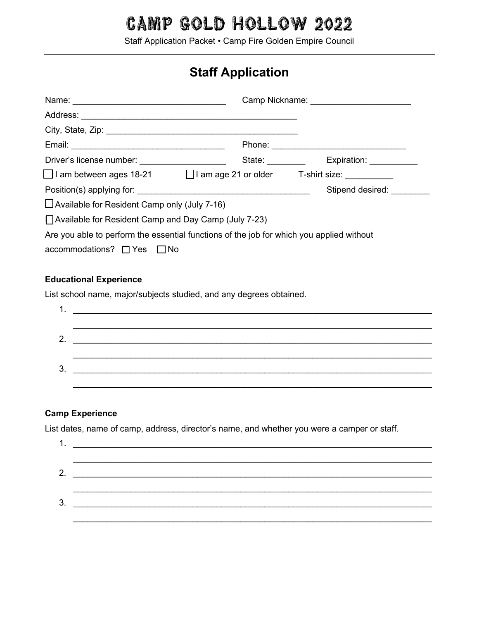Staff Application Packet • Camp Fire Golden Empire Council

## **Staff Application**

| City, State, Zip: 2008. Experience of the State of Table 2008. The State of Table 2008. The State of Table 200 |                                 |                          |
|----------------------------------------------------------------------------------------------------------------|---------------------------------|--------------------------|
|                                                                                                                |                                 |                          |
|                                                                                                                | State: <u>www.community.com</u> | Expiration: ____________ |
| $\Box$ I am between ages 18-21 $\Box$ I am age 21 or older T-shirt size: $\Box$                                |                                 |                          |
| Position(s) applying for:                                                                                      |                                 | Stipend desired:         |
| $\Box$ Available for Resident Camp only (July 7-16)                                                            |                                 |                          |
| $\Box$ Available for Resident Camp and Day Camp (July 7-23)                                                    |                                 |                          |
| Are you able to perform the essential functions of the job for which you applied without                       |                                 |                          |
| accommodations? $\Box$ Yes $\Box$ No                                                                           |                                 |                          |
|                                                                                                                |                                 |                          |

### **Educational Experience**

List school name, major/subjects studied, and any degrees obtained.

| 1. |                                                                                                                        |
|----|------------------------------------------------------------------------------------------------------------------------|
|    |                                                                                                                        |
|    | <u> 1989 - Johann Stoff, deutscher Stoffen und der Stoffen und der Stoffen und der Stoffen und der Stoffen und der</u> |
|    |                                                                                                                        |
| 3. | <u> 1980 - Johann John Stein, markin fizik eta idazleari (</u>                                                         |
|    |                                                                                                                        |

### **Camp Experience**

List dates, name of camp, address, director's name, and whether you were a camper or staff.

|    | <u> 1989 - Andrea Station, Amerikaansk politiker (</u> |  |
|----|--------------------------------------------------------|--|
|    |                                                        |  |
| 3. |                                                        |  |
|    |                                                        |  |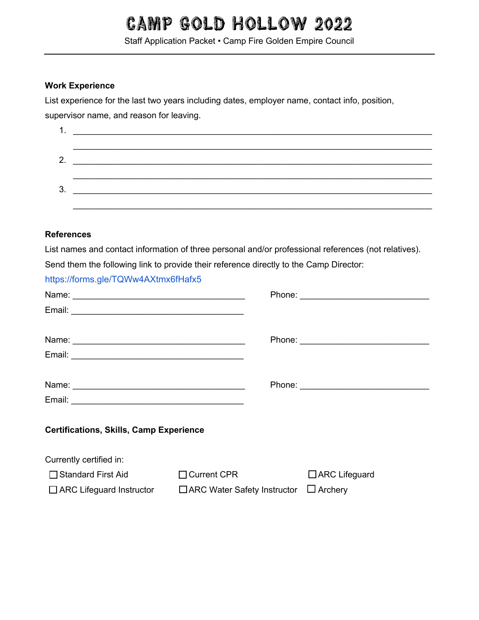Staff Application Packet • Camp Fire Golden Empire Council

### **Work Experience**

List experience for the last two years including dates, employer name, contact info, position,

supervisor name, and reason for leaving.

| л. |  |
|----|--|
|    |  |
|    |  |
|    |  |
| 3. |  |
|    |  |

#### **References**

List names and contact information of three personal and/or professional references (not relatives).

Send them the following link to provide their reference directly to the Camp Director:

https://forms.gle/TQWw4AXtmx6fHafx5

| Name: Name: Name and Name and Name and Name and Name and Name and Name and Name and Name and Name and Name and Name and Name and Name and Name and Name and Name and Name and Name and Name and Name and Name and Name and Nam |                                    |                      |
|--------------------------------------------------------------------------------------------------------------------------------------------------------------------------------------------------------------------------------|------------------------------------|----------------------|
|                                                                                                                                                                                                                                |                                    |                      |
|                                                                                                                                                                                                                                |                                    |                      |
|                                                                                                                                                                                                                                |                                    |                      |
| <b>Certifications, Skills, Camp Experience</b>                                                                                                                                                                                 |                                    |                      |
| Currently certified in:                                                                                                                                                                                                        |                                    |                      |
| □ Standard First Aid                                                                                                                                                                                                           | $\Box$ Current CPR                 | $\Box$ ARC Lifeguard |
| $\Box$ ARC Lifeguard Instructor                                                                                                                                                                                                | $\Box$ ARC Water Safety Instructor | $\Box$ Archery       |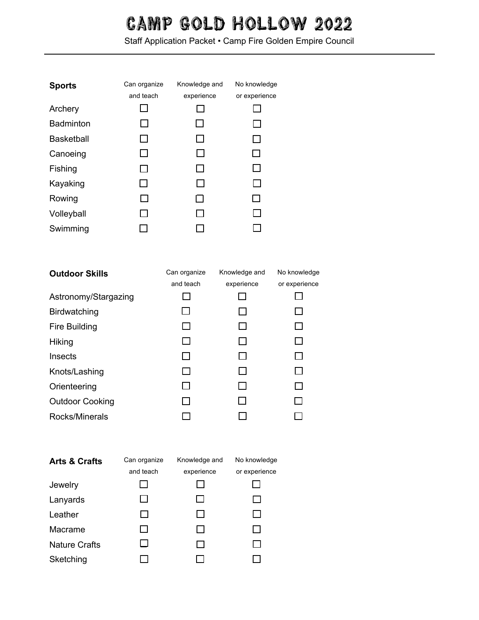Staff Application Packet • Camp Fire Golden Empire Council

| <b>Sports</b>     | Can organize | Knowledge and | No knowledge   |
|-------------------|--------------|---------------|----------------|
|                   | and teach    | experience    | or experience  |
| Archery           |              |               |                |
| <b>Badminton</b>  |              |               |                |
| <b>Basketball</b> | $\mathbf{I}$ |               |                |
| Canoeing          | $\mathbf{I}$ |               | $\mathsf{L}$   |
| Fishing           | $\mathbf{I}$ |               |                |
| Kayaking          | $\mathsf{L}$ |               | $\blacksquare$ |
| Rowing            |              |               | $\mathsf{L}$   |
| Volleyball        |              |               |                |
| Swimming          |              |               |                |

| <b>Outdoor Skills</b>  | Can organize | Knowledge and | No knowledge  |
|------------------------|--------------|---------------|---------------|
|                        | and teach    | experience    | or experience |
| Astronomy/Stargazing   |              |               |               |
| <b>Birdwatching</b>    |              |               |               |
| <b>Fire Building</b>   |              |               |               |
| Hiking                 |              |               |               |
| Insects                |              |               |               |
| Knots/Lashing          |              |               |               |
| Orienteering           |              |               |               |
| <b>Outdoor Cooking</b> |              |               | $\mathsf{L}$  |
| Rocks/Minerals         |              |               |               |

| <b>Arts &amp; Crafts</b> | Can organize | Knowledge and | No knowledge  |
|--------------------------|--------------|---------------|---------------|
|                          | and teach    | experience    | or experience |
| Jewelry                  |              |               |               |
| Lanyards                 |              |               |               |
| Leather                  |              |               |               |
| Macrame                  |              |               |               |
| <b>Nature Crafts</b>     |              |               |               |
| Sketching                |              |               |               |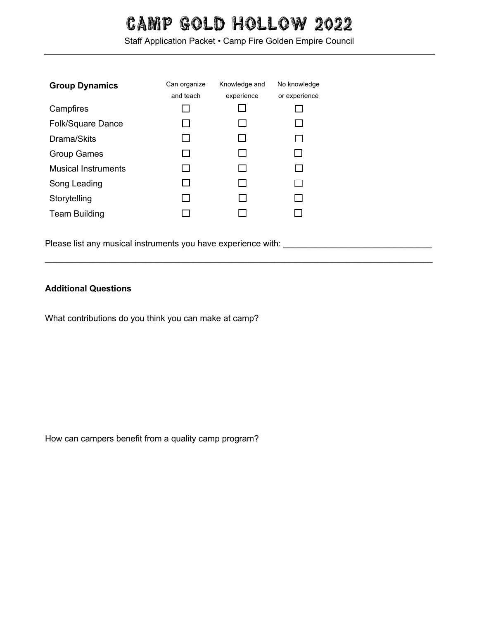Staff Application Packet • Camp Fire Golden Empire Council

 $\_$ 

| <b>Group Dynamics</b>      | Can organize   | Knowledge and | No knowledge  |
|----------------------------|----------------|---------------|---------------|
|                            | and teach      | experience    | or experience |
| Campfires                  | $\mathbb{R}^n$ |               |               |
| <b>Folk/Square Dance</b>   | $\mathsf{L}$   |               |               |
| Drama/Skits                | l 1            |               |               |
| <b>Group Games</b>         | $\mathsf{L}$   |               |               |
| <b>Musical Instruments</b> | П              |               |               |
| Song Leading               | $\mathsf{L}$   |               |               |
| Storytelling               | $\Box$         |               |               |
| <b>Team Building</b>       |                |               |               |

Please list any musical instruments you have experience with: \_\_\_\_\_\_\_\_\_\_\_\_\_\_\_\_\_\_\_

## **Additional Questions**

What contributions do you think you can make at camp?

How can campers benefit from a quality camp program?